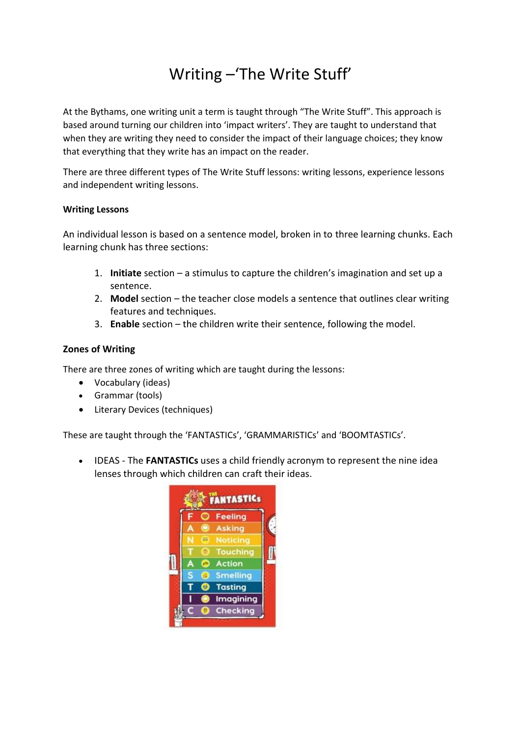# Writing –'The Write Stuff'

At the Bythams, one writing unit a term is taught through "The Write Stuff". This approach is based around turning our children into 'impact writers'. They are taught to understand that when they are writing they need to consider the impact of their language choices; they know that everything that they write has an impact on the reader.

There are three different types of The Write Stuff lessons: writing lessons, experience lessons and independent writing lessons.

### **Writing Lessons**

An individual lesson is based on a sentence model, broken in to three learning chunks. Each learning chunk has three sections:

- 1. **Initiate** section a stimulus to capture the children's imagination and set up a sentence.
- 2. **Model** section the teacher close models a sentence that outlines clear writing features and techniques.
- 3. **Enable** section the children write their sentence, following the model.

## **Zones of Writing**

There are three zones of writing which are taught during the lessons:

- Vocabulary (ideas)
- Grammar (tools)
- Literary Devices (techniques)

These are taught through the 'FANTASTICs', 'GRAMMARISTICs' and 'BOOMTASTICs'.

• IDEAS - The **FANTASTICs** uses a child friendly acronym to represent the nine idea lenses through which children can craft their ideas.

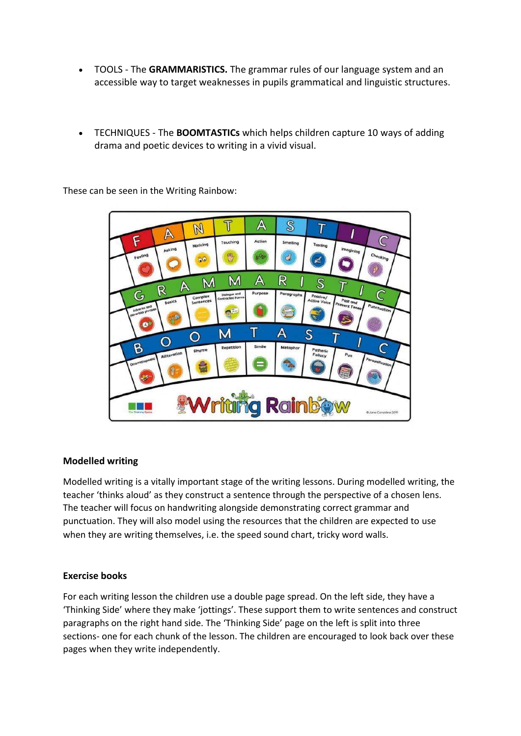- TOOLS The **GRAMMARISTICS.** The grammar rules of our language system and an accessible way to target weaknesses in pupils grammatical and linguistic structures.
- TECHNIQUES The **BOOMTASTICs** which helps children capture 10 ways of adding drama and poetic devices to writing in a vivid visual.

These can be seen in the Writing Rainbow:



### **Modelled writing**

Modelled writing is a vitally important stage of the writing lessons. During modelled writing, the teacher 'thinks aloud' as they construct a sentence through the perspective of a chosen lens. The teacher will focus on handwriting alongside demonstrating correct grammar and punctuation. They will also model using the resources that the children are expected to use when they are writing themselves, i.e. the speed sound chart, tricky word walls.

### **Exercise books**

For each writing lesson the children use a double page spread. On the left side, they have a 'Thinking Side' where they make 'jottings'. These support them to write sentences and construct paragraphs on the right hand side. The 'Thinking Side' page on the left is split into three sections- one for each chunk of the lesson. The children are encouraged to look back over these pages when they write independently.